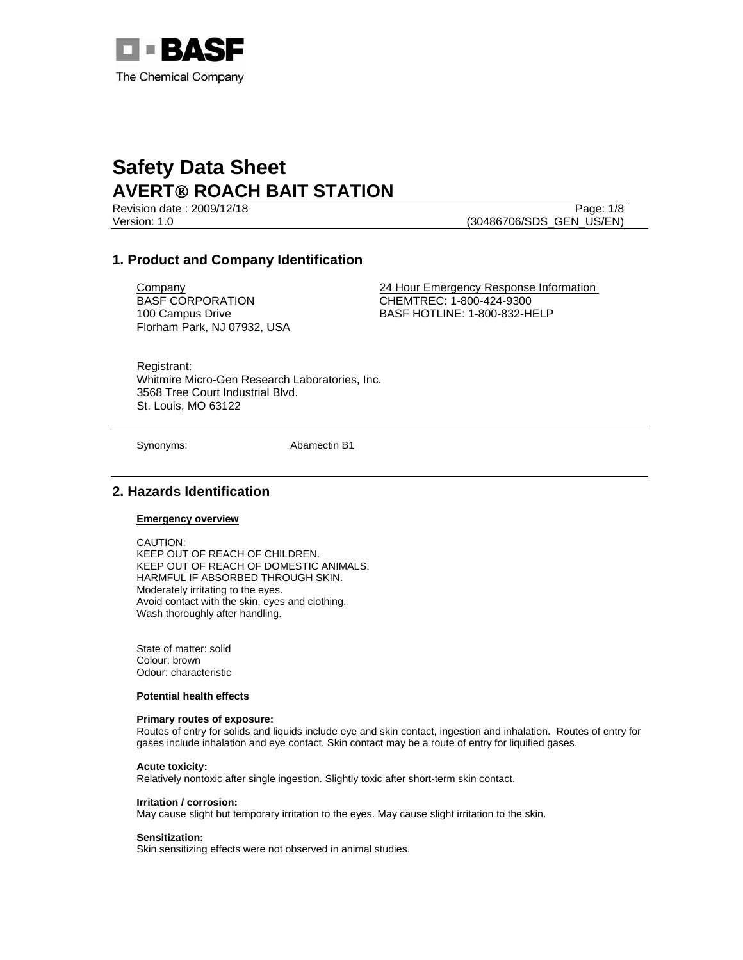

Revision date : 2009/12/18 Page: 1/8 Version: 1.0 (30486706/SDS\_GEN\_US/EN)

# **1. Product and Company Identification**

BASF CORPORATION 100 Campus Drive Florham Park, NJ 07932, USA

**Company** 24 Hour Emergency Response Information CHEMTREC: 1-800-424-9300 BASF HOTLINE: 1-800-832-HELP

Registrant: Whitmire Micro-Gen Research Laboratories, Inc. 3568 Tree Court Industrial Blvd. St. Louis, MO 63122

Synonyms: Abamectin B1

# **2. Hazards Identification**

#### **Emergency overview**

CAUTION: KEEP OUT OF REACH OF CHILDREN. KEEP OUT OF REACH OF DOMESTIC ANIMALS. HARMFUL IF ABSORBED THROUGH SKIN. Moderately irritating to the eyes. Avoid contact with the skin, eyes and clothing. Wash thoroughly after handling.

State of matter: solid Colour: brown Odour: characteristic

#### **Potential health effects**

#### **Primary routes of exposure:**

Routes of entry for solids and liquids include eye and skin contact, ingestion and inhalation. Routes of entry for gases include inhalation and eye contact. Skin contact may be a route of entry for liquified gases.

**Acute toxicity:**

Relatively nontoxic after single ingestion. Slightly toxic after short-term skin contact.

#### **Irritation / corrosion:**

May cause slight but temporary irritation to the eyes. May cause slight irritation to the skin.

#### **Sensitization:**

Skin sensitizing effects were not observed in animal studies.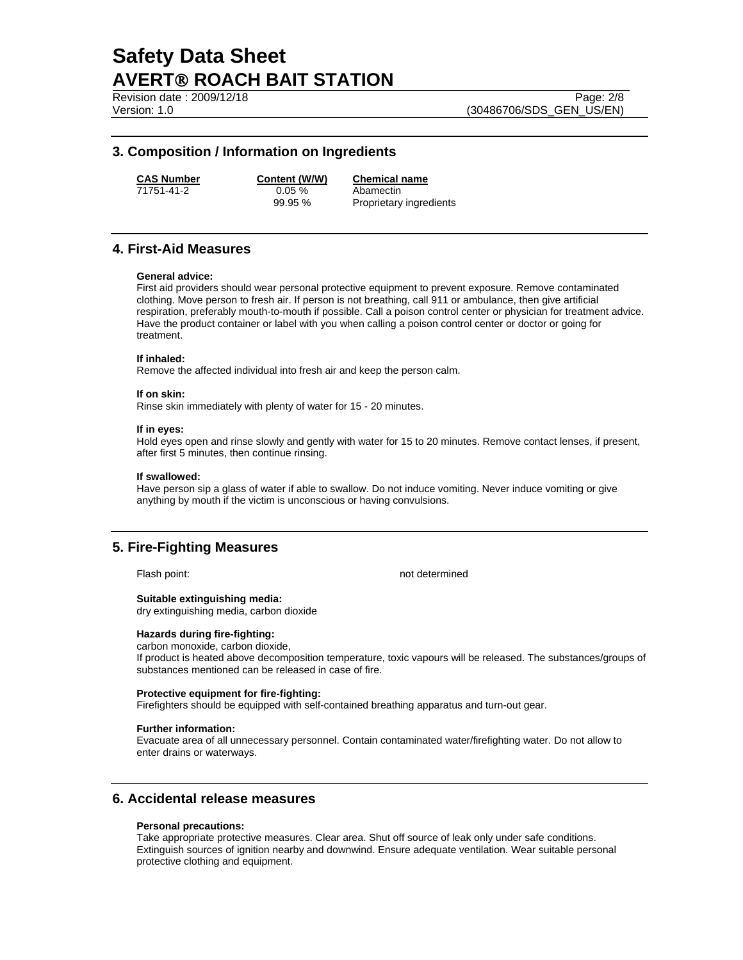Revision date : 2009/12/18 Page: 2/8 Version: 1.0 (30486706/SDS\_GEN\_US/EN)

### **3. Composition / Information on Ingredients**

**CAS Number Content (W/W) Chemical name**

71751-41-2 0.05 % Abamectin

99.95 % Proprietary ingredients

# **4. First-Aid Measures**

#### **General advice:**

First aid providers should wear personal protective equipment to prevent exposure. Remove contaminated clothing. Move person to fresh air. If person is not breathing, call 911 or ambulance, then give artificial respiration, preferably mouth-to-mouth if possible. Call a poison control center or physician for treatment advice. Have the product container or label with you when calling a poison control center or doctor or going for treatment.

#### **If inhaled:**

Remove the affected individual into fresh air and keep the person calm.

#### **If on skin:**

Rinse skin immediately with plenty of water for 15 - 20 minutes.

#### **If in eyes:**

Hold eyes open and rinse slowly and gently with water for 15 to 20 minutes. Remove contact lenses, if present, after first 5 minutes, then continue rinsing.

#### **If swallowed:**

Have person sip a glass of water if able to swallow. Do not induce vomiting. Never induce vomiting or give anything by mouth if the victim is unconscious or having convulsions.

# **5. Fire-Fighting Measures**

Flash point: not determined

**Suitable extinguishing media:**  dry extinguishing media, carbon dioxide

#### **Hazards during fire-fighting:**

carbon monoxide, carbon dioxide,

If product is heated above decomposition temperature, toxic vapours will be released. The substances/groups of substances mentioned can be released in case of fire.

#### **Protective equipment for fire-fighting:**

Firefighters should be equipped with self-contained breathing apparatus and turn-out gear.

#### **Further information:**

Evacuate area of all unnecessary personnel. Contain contaminated water/firefighting water. Do not allow to enter drains or waterways.

# **6. Accidental release measures**

#### **Personal precautions:**

Take appropriate protective measures. Clear area. Shut off source of leak only under safe conditions. Extinguish sources of ignition nearby and downwind. Ensure adequate ventilation. Wear suitable personal protective clothing and equipment.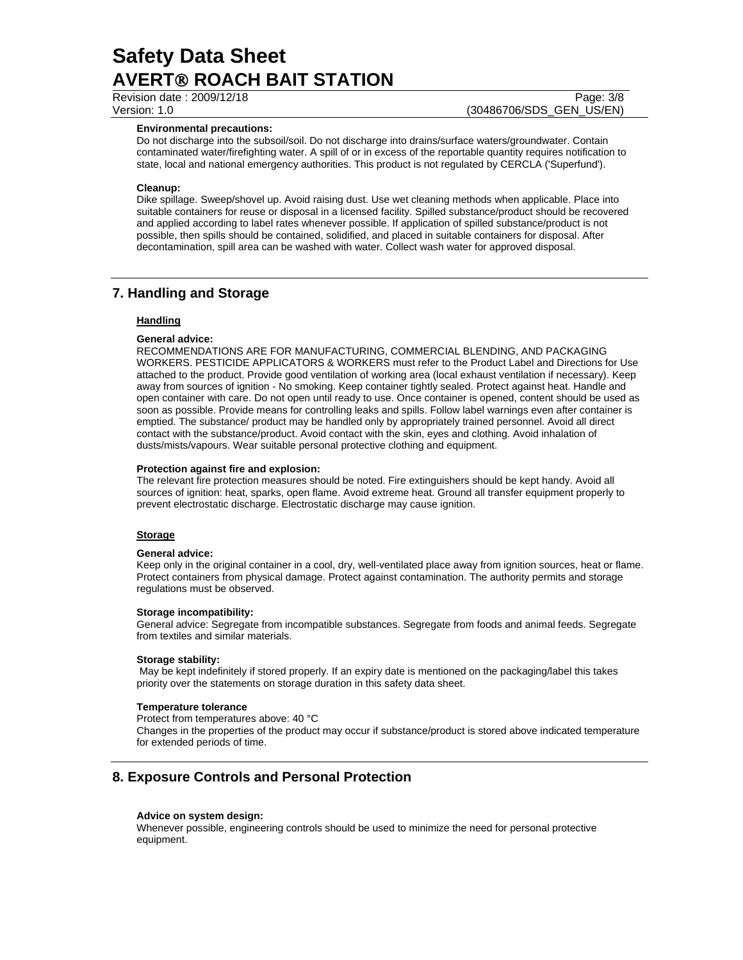Revision date : 2009/12/18 Page: 3/8

Version: 1.0 (30486706/SDS\_GEN\_US/EN)

#### **Environmental precautions:**

Do not discharge into the subsoil/soil. Do not discharge into drains/surface waters/groundwater. Contain contaminated water/firefighting water. A spill of or in excess of the reportable quantity requires notification to state, local and national emergency authorities. This product is not regulated by CERCLA ('Superfund').

#### **Cleanup:**

Dike spillage. Sweep/shovel up. Avoid raising dust. Use wet cleaning methods when applicable. Place into suitable containers for reuse or disposal in a licensed facility. Spilled substance/product should be recovered and applied according to label rates whenever possible. If application of spilled substance/product is not possible, then spills should be contained, solidified, and placed in suitable containers for disposal. After decontamination, spill area can be washed with water. Collect wash water for approved disposal.

# **7. Handling and Storage**

### **Handling**

#### **General advice:**

RECOMMENDATIONS ARE FOR MANUFACTURING, COMMERCIAL BLENDING, AND PACKAGING WORKERS. PESTICIDE APPLICATORS & WORKERS must refer to the Product Label and Directions for Use attached to the product. Provide good ventilation of working area (local exhaust ventilation if necessary). Keep away from sources of ignition - No smoking. Keep container tightly sealed. Protect against heat. Handle and open container with care. Do not open until ready to use. Once container is opened, content should be used as soon as possible. Provide means for controlling leaks and spills. Follow label warnings even after container is emptied. The substance/ product may be handled only by appropriately trained personnel. Avoid all direct contact with the substance/product. Avoid contact with the skin, eyes and clothing. Avoid inhalation of dusts/mists/vapours. Wear suitable personal protective clothing and equipment.

#### **Protection against fire and explosion:**

The relevant fire protection measures should be noted. Fire extinguishers should be kept handy. Avoid all sources of ignition: heat, sparks, open flame. Avoid extreme heat. Ground all transfer equipment properly to prevent electrostatic discharge. Electrostatic discharge may cause ignition.

#### **Storage**

#### **General advice:**

Keep only in the original container in a cool, dry, well-ventilated place away from ignition sources, heat or flame. Protect containers from physical damage. Protect against contamination. The authority permits and storage regulations must be observed.

#### **Storage incompatibility:**

General advice: Segregate from incompatible substances. Segregate from foods and animal feeds. Segregate from textiles and similar materials.

#### **Storage stability:**

 May be kept indefinitely if stored properly. If an expiry date is mentioned on the packaging/label this takes priority over the statements on storage duration in this safety data sheet.

#### **Temperature tolerance**

Protect from temperatures above: 40 °C

Changes in the properties of the product may occur if substance/product is stored above indicated temperature for extended periods of time.

# **8. Exposure Controls and Personal Protection**

#### **Advice on system design:**

Whenever possible, engineering controls should be used to minimize the need for personal protective equipment.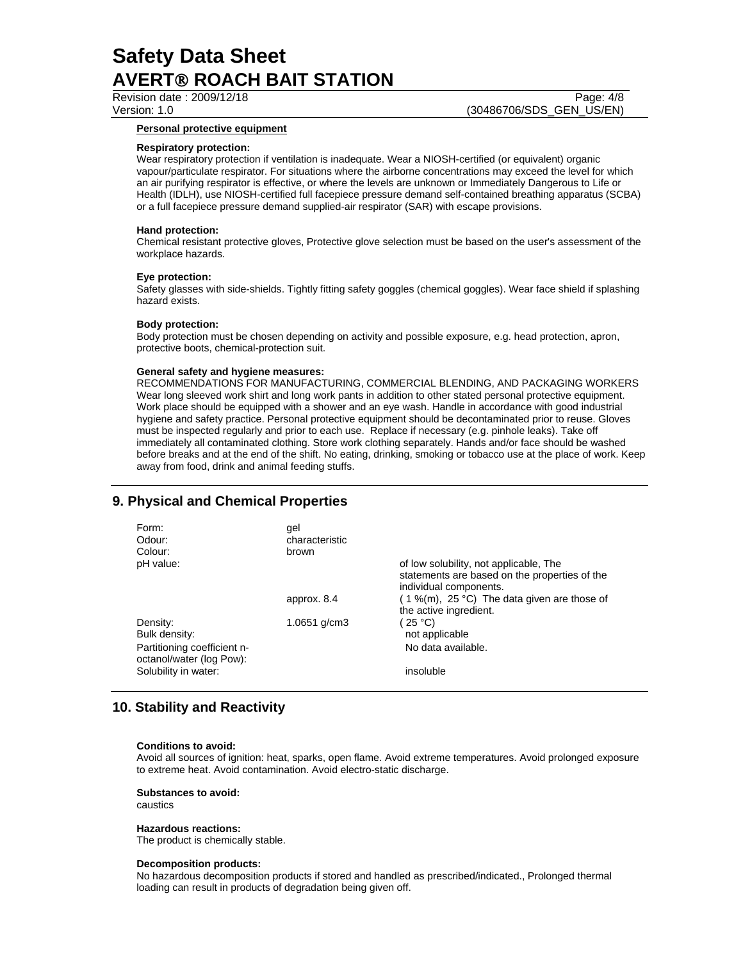Revision date : 2009/12/18 Page: 4/8

Version: 1.0 (30486706/SDS\_GEN\_US/EN)

#### **Personal protective equipment**

#### **Respiratory protection:**

Wear respiratory protection if ventilation is inadequate. Wear a NIOSH-certified (or equivalent) organic vapour/particulate respirator. For situations where the airborne concentrations may exceed the level for which an air purifying respirator is effective, or where the levels are unknown or Immediately Dangerous to Life or Health (IDLH), use NIOSH-certified full facepiece pressure demand self-contained breathing apparatus (SCBA) or a full facepiece pressure demand supplied-air respirator (SAR) with escape provisions.

#### **Hand protection:**

Chemical resistant protective gloves, Protective glove selection must be based on the user's assessment of the workplace hazards.

#### **Eye protection:**

Safety glasses with side-shields. Tightly fitting safety goggles (chemical goggles). Wear face shield if splashing hazard exists.

#### **Body protection:**

Body protection must be chosen depending on activity and possible exposure, e.g. head protection, apron, protective boots, chemical-protection suit.

#### **General safety and hygiene measures:**

RECOMMENDATIONS FOR MANUFACTURING, COMMERCIAL BLENDING, AND PACKAGING WORKERS Wear long sleeved work shirt and long work pants in addition to other stated personal protective equipment. Work place should be equipped with a shower and an eye wash. Handle in accordance with good industrial hygiene and safety practice. Personal protective equipment should be decontaminated prior to reuse. Gloves must be inspected regularly and prior to each use. Replace if necessary (e.g. pinhole leaks). Take off immediately all contaminated clothing. Store work clothing separately. Hands and/or face should be washed before breaks and at the end of the shift. No eating, drinking, smoking or tobacco use at the place of work. Keep away from food, drink and animal feeding stuffs.

# **9. Physical and Chemical Properties**

| Form:<br>Odour:<br>Colour:                                                           | gel<br>characteristic<br>brown |                                                                                                                   |
|--------------------------------------------------------------------------------------|--------------------------------|-------------------------------------------------------------------------------------------------------------------|
| pH value:                                                                            |                                | of low solubility, not applicable, The<br>statements are based on the properties of the<br>individual components. |
|                                                                                      | approx. 8.4                    | $(1\%$ (m), 25 °C) The data given are those of<br>the active ingredient.                                          |
| Density:<br>Bulk density:<br>Partitioning coefficient n-<br>octanol/water (log Pow): | 1.0651 $g/cm3$                 | (25 °C)<br>not applicable<br>No data available.                                                                   |
| Solubility in water:                                                                 |                                | insoluble                                                                                                         |

# **10. Stability and Reactivity**

#### **Conditions to avoid:**

Avoid all sources of ignition: heat, sparks, open flame. Avoid extreme temperatures. Avoid prolonged exposure to extreme heat. Avoid contamination. Avoid electro-static discharge.

#### **Substances to avoid:**

caustics

#### **Hazardous reactions:**

The product is chemically stable.

#### **Decomposition products:**

No hazardous decomposition products if stored and handled as prescribed/indicated., Prolonged thermal loading can result in products of degradation being given off.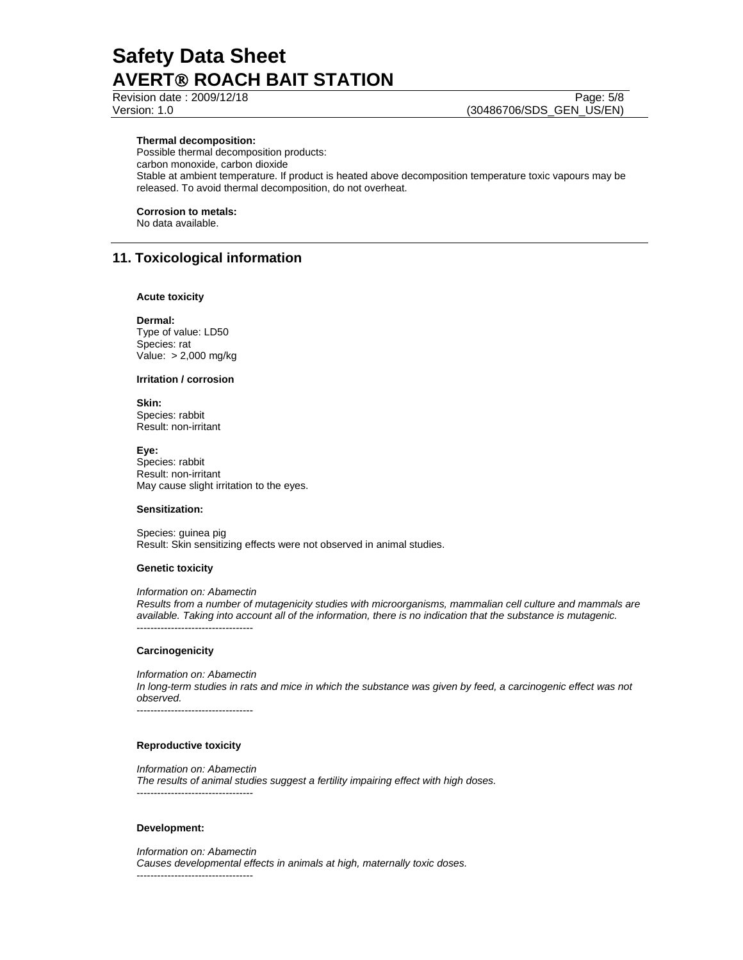Revision date : 2009/12/18 Page: 5/8 Version: 1.0 (30486706/SDS\_GEN\_US/EN)

### **Thermal decomposition:**

Possible thermal decomposition products: carbon monoxide, carbon dioxide Stable at ambient temperature. If product is heated above decomposition temperature toxic vapours may be released. To avoid thermal decomposition, do not overheat.

### **Corrosion to metals:**

No data available.

# **11. Toxicological information**

#### **Acute toxicity**

**Dermal:**  Type of value: LD50 Species: rat Value: > 2,000 mg/kg

**Irritation / corrosion** 

**Skin:**  Species: rabbit Result: non-irritant

**Eye:** Species: rabbit Result: non-irritant May cause slight irritation to the eyes.

#### **Sensitization:**

Species: guinea pig Result: Skin sensitizing effects were not observed in animal studies.

#### **Genetic toxicity**

*Information on: Abamectin* 

*Results from a number of mutagenicity studies with microorganisms, mammalian cell culture and mammals are available. Taking into account all of the information, there is no indication that the substance is mutagenic.*  ----------------------------------

#### **Carcinogenicity**

*Information on: Abamectin In long-term studies in rats and mice in which the substance was given by feed, a carcinogenic effect was not observed.*  ----------------------------------

#### **Reproductive toxicity**

*Information on: Abamectin The results of animal studies suggest a fertility impairing effect with high doses.*  ----------------------------------

#### **Development:**

*Information on: Abamectin Causes developmental effects in animals at high, maternally toxic doses.*  ----------------------------------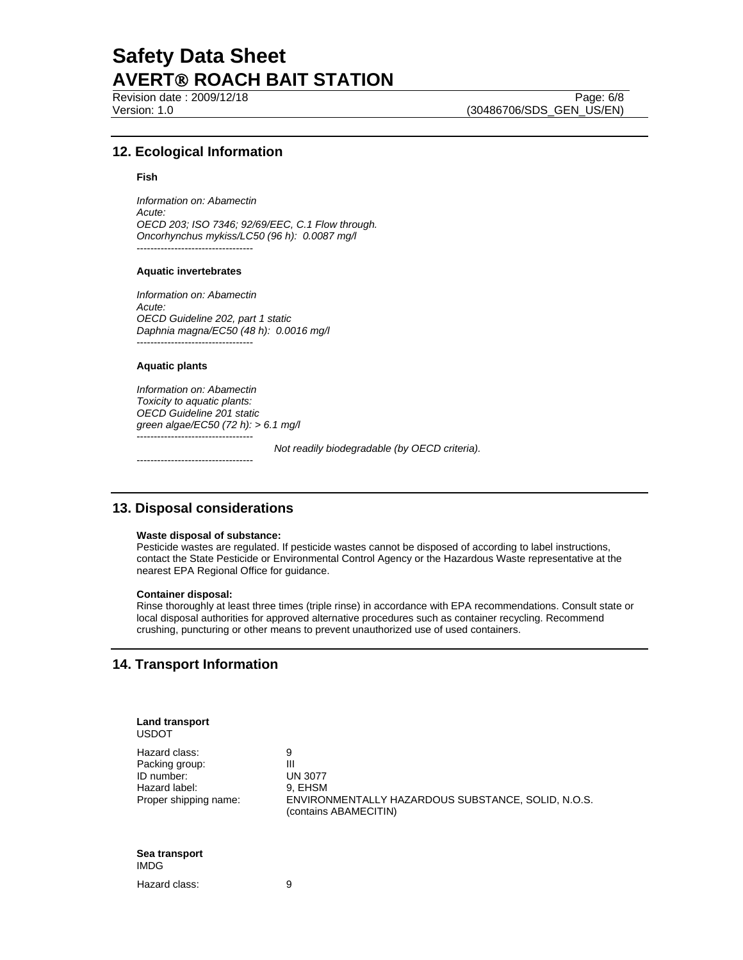Revision date : 2009/12/18 Page: 6/8

Version: 1.0 (30486706/SDS\_GEN\_US/EN)

### **12. Ecological Information**

#### **Fish**

*Information on: Abamectin Acute: OECD 203; ISO 7346; 92/69/EEC, C.1 Flow through. Oncorhynchus mykiss/LC50 (96 h): 0.0087 mg/l*  ----------------------------------

#### **Aquatic invertebrates**

*Information on: Abamectin Acute: OECD Guideline 202, part 1 static Daphnia magna/EC50 (48 h): 0.0016 mg/l*  ----------------------------------

#### **Aquatic plants**

*Information on: Abamectin Toxicity to aquatic plants: OECD Guideline 201 static green algae/EC50 (72 h): > 6.1 mg/l*  ----------------------------------  *Not readily biodegradable (by OECD criteria).* 

----------------------------------

### **13. Disposal considerations**

#### **Waste disposal of substance:**

Pesticide wastes are regulated. If pesticide wastes cannot be disposed of according to label instructions, contact the State Pesticide or Environmental Control Agency or the Hazardous Waste representative at the nearest EPA Regional Office for guidance.

#### **Container disposal:**

Rinse thoroughly at least three times (triple rinse) in accordance with EPA recommendations. Consult state or local disposal authorities for approved alternative procedures such as container recycling. Recommend crushing, puncturing or other means to prevent unauthorized use of used containers.

# **14. Transport Information**

| Land transport<br><b>USDOT</b>                                                          |                                                                                                                    |
|-----------------------------------------------------------------------------------------|--------------------------------------------------------------------------------------------------------------------|
| Hazard class:<br>Packing group:<br>ID number:<br>Hazard label:<br>Proper shipping name: | 9<br>Ш<br><b>UN 3077</b><br>9, EHSM<br>ENVIRONMENTALLY HAZARDOUS SUBSTANCE, SOLID, N.O.S.<br>(contains ABAMECITIN) |
| Sea transport<br><b>IMDG</b>                                                            |                                                                                                                    |
| Hazard class:                                                                           | 9                                                                                                                  |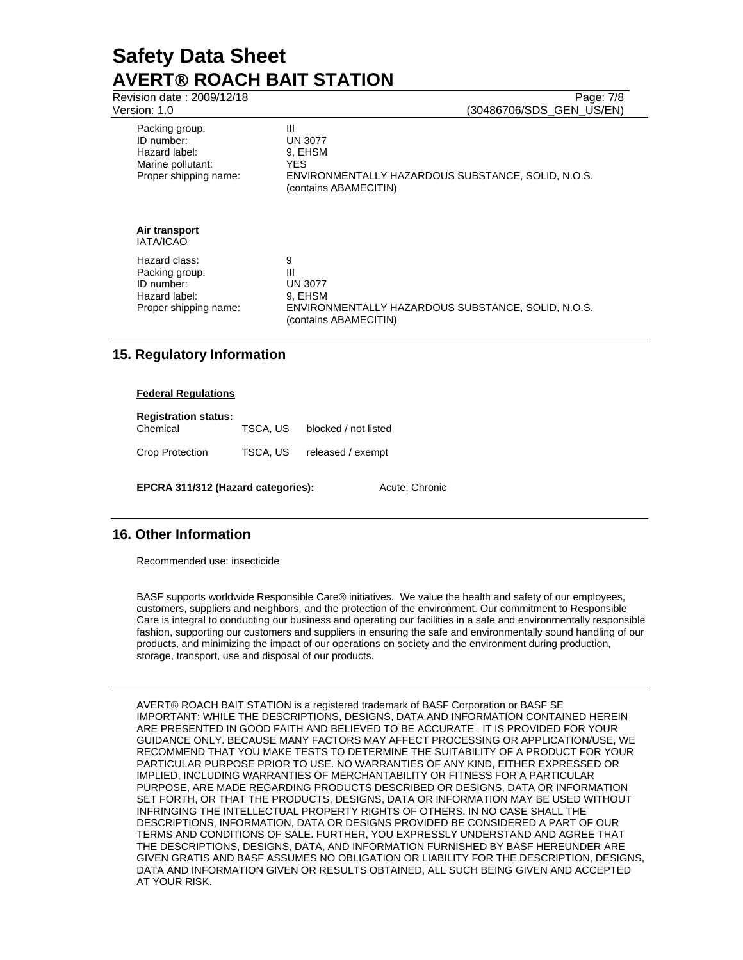| Revision date: 2009/12/18<br>Version: 1.0                                                   | Page: 7/8<br>(30486706/SDS GEN US/EN)                                                                                 |
|---------------------------------------------------------------------------------------------|-----------------------------------------------------------------------------------------------------------------------|
| Packing group:<br>ID number:<br>Hazard label:<br>Marine pollutant:<br>Proper shipping name: | Ш<br><b>UN 3077</b><br>9. EHSM<br>YES.<br>ENVIRONMENTALLY HAZARDOUS SUBSTANCE, SOLID, N.O.S.<br>(contains ABAMECITIN) |
| Air transport<br><b>IATA/ICAO</b>                                                           |                                                                                                                       |
| Hazard class:<br>Packing group:<br>ID number:<br>Hazard label:<br>Proper shipping name:     | 9<br>Ш<br><b>UN 3077</b><br>9, EHSM<br>ENVIRONMENTALLY HAZARDOUS SUBSTANCE, SOLID, N.O.S.<br>(contains ABAMECITIN)    |

# **15. Regulatory Information**

#### **Federal Regulations**

**Registration status:**  Chemical TSCA, US blocked / not listed Crop Protection TSCA, US released / exempt

EPCRA 311/312 (Hazard categories): Acute; Chronic

# **16. Other Information**

Recommended use: insecticide

BASF supports worldwide Responsible Care® initiatives. We value the health and safety of our employees, customers, suppliers and neighbors, and the protection of the environment. Our commitment to Responsible Care is integral to conducting our business and operating our facilities in a safe and environmentally responsible fashion, supporting our customers and suppliers in ensuring the safe and environmentally sound handling of our products, and minimizing the impact of our operations on society and the environment during production, storage, transport, use and disposal of our products.

AVERT® ROACH BAIT STATION is a registered trademark of BASF Corporation or BASF SE IMPORTANT: WHILE THE DESCRIPTIONS, DESIGNS, DATA AND INFORMATION CONTAINED HEREIN ARE PRESENTED IN GOOD FAITH AND BELIEVED TO BE ACCURATE , IT IS PROVIDED FOR YOUR GUIDANCE ONLY. BECAUSE MANY FACTORS MAY AFFECT PROCESSING OR APPLICATION/USE, WE RECOMMEND THAT YOU MAKE TESTS TO DETERMINE THE SUITABILITY OF A PRODUCT FOR YOUR PARTICULAR PURPOSE PRIOR TO USE. NO WARRANTIES OF ANY KIND, EITHER EXPRESSED OR IMPLIED, INCLUDING WARRANTIES OF MERCHANTABILITY OR FITNESS FOR A PARTICULAR PURPOSE, ARE MADE REGARDING PRODUCTS DESCRIBED OR DESIGNS, DATA OR INFORMATION SET FORTH, OR THAT THE PRODUCTS, DESIGNS, DATA OR INFORMATION MAY BE USED WITHOUT INFRINGING THE INTELLECTUAL PROPERTY RIGHTS OF OTHERS. IN NO CASE SHALL THE DESCRIPTIONS, INFORMATION, DATA OR DESIGNS PROVIDED BE CONSIDERED A PART OF OUR TERMS AND CONDITIONS OF SALE. FURTHER, YOU EXPRESSLY UNDERSTAND AND AGREE THAT THE DESCRIPTIONS, DESIGNS, DATA, AND INFORMATION FURNISHED BY BASF HEREUNDER ARE GIVEN GRATIS AND BASF ASSUMES NO OBLIGATION OR LIABILITY FOR THE DESCRIPTION, DESIGNS, DATA AND INFORMATION GIVEN OR RESULTS OBTAINED, ALL SUCH BEING GIVEN AND ACCEPTED AT YOUR RISK.